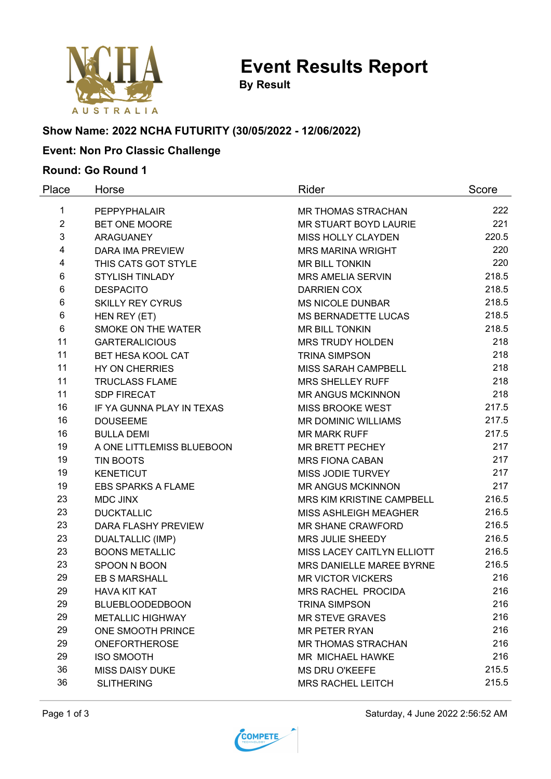

**By Result**

# **Show Name: 2022 NCHA FUTURITY (30/05/2022 - 12/06/2022)**

### **Event: Non Pro Classic Challenge**

#### **Round: Go Round 1**

| Place          | Horse                     | Rider                      | Score |
|----------------|---------------------------|----------------------------|-------|
| 1              | PEPPYPHALAIR              | <b>MR THOMAS STRACHAN</b>  | 222   |
| $\overline{2}$ | BET ONE MOORE             | MR STUART BOYD LAURIE      | 221   |
| 3              | <b>ARAGUANEY</b>          | <b>MISS HOLLY CLAYDEN</b>  | 220.5 |
| 4              | DARA IMA PREVIEW          | <b>MRS MARINA WRIGHT</b>   | 220   |
| 4              | THIS CATS GOT STYLE       | <b>MR BILL TONKIN</b>      | 220   |
| 6              | <b>STYLISH TINLADY</b>    | <b>MRS AMELIA SERVIN</b>   | 218.5 |
| 6              | <b>DESPACITO</b>          | <b>DARRIEN COX</b>         | 218.5 |
| 6              | <b>SKILLY REY CYRUS</b>   | <b>MS NICOLE DUNBAR</b>    | 218.5 |
| 6              | HEN REY (ET)              | <b>MS BERNADETTE LUCAS</b> | 218.5 |
| 6              | SMOKE ON THE WATER        | <b>MR BILL TONKIN</b>      | 218.5 |
| 11             | <b>GARTERALICIOUS</b>     | <b>MRS TRUDY HOLDEN</b>    | 218   |
| 11             | <b>BET HESA KOOL CAT</b>  | <b>TRINA SIMPSON</b>       | 218   |
| 11             | HY ON CHERRIES            | <b>MISS SARAH CAMPBELL</b> | 218   |
| 11             | <b>TRUCLASS FLAME</b>     | <b>MRS SHELLEY RUFF</b>    | 218   |
| 11             | <b>SDP FIRECAT</b>        | <b>MR ANGUS MCKINNON</b>   | 218   |
| 16             | IF YA GUNNA PLAY IN TEXAS | MISS BROOKE WEST           | 217.5 |
| 16             | <b>DOUSEEME</b>           | <b>MR DOMINIC WILLIAMS</b> | 217.5 |
| 16             | <b>BULLA DEMI</b>         | <b>MR MARK RUFF</b>        | 217.5 |
| 19             | A ONE LITTLEMISS BLUEBOON | MR BRETT PECHEY            | 217   |
| 19             | <b>TIN BOOTS</b>          | <b>MRS FIONA CABAN</b>     | 217   |
| 19             | <b>KENETICUT</b>          | MISS JODIE TURVEY          | 217   |
| 19             | <b>EBS SPARKS A FLAME</b> | <b>MR ANGUS MCKINNON</b>   | 217   |
| 23             | <b>MDC JINX</b>           | MRS KIM KRISTINE CAMPBELL  | 216.5 |
| 23             | <b>DUCKTALLIC</b>         | MISS ASHLEIGH MEAGHER      | 216.5 |
| 23             | DARA FLASHY PREVIEW       | <b>MR SHANE CRAWFORD</b>   | 216.5 |
| 23             | <b>DUALTALLIC (IMP)</b>   | MRS JULIE SHEEDY           | 216.5 |
| 23             | <b>BOONS METALLIC</b>     | MISS LACEY CAITLYN ELLIOTT | 216.5 |
| 23             | SPOON N BOON              | MRS DANIELLE MAREE BYRNE   | 216.5 |
| 29             | <b>EB S MARSHALL</b>      | <b>MR VICTOR VICKERS</b>   | 216   |
| 29             | <b>HAVA KIT KAT</b>       | MRS RACHEL PROCIDA         | 216   |
| 29             | <b>BLUEBLOODEDBOON</b>    | <b>TRINA SIMPSON</b>       | 216   |
| 29             | <b>METALLIC HIGHWAY</b>   | <b>MR STEVE GRAVES</b>     | 216   |
| 29             | ONE SMOOTH PRINCE         | <b>MR PETER RYAN</b>       | 216   |
| 29             | <b>ONEFORTHEROSE</b>      | <b>MR THOMAS STRACHAN</b>  | 216   |
| 29             | <b>ISO SMOOTH</b>         | MR MICHAEL HAWKE           | 216   |
| 36             | <b>MISS DAISY DUKE</b>    | <b>MS DRU O'KEEFE</b>      | 215.5 |
| 36             | <b>SLITHERING</b>         | <b>MRS RACHEL LEITCH</b>   | 215.5 |



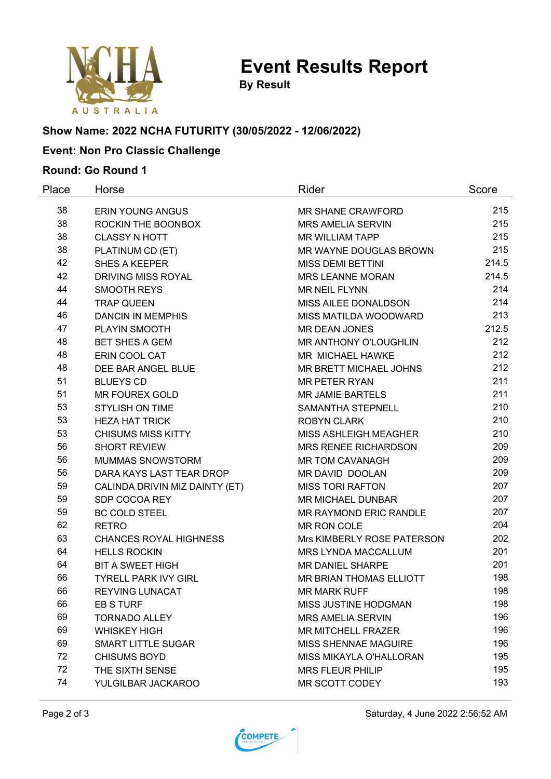

**By Result**

# **Show Name: 2022 NCHA FUTURITY (30/05/2022 - 12/06/2022)**

### **Event: Non Pro Classic Challenge**

#### **Round: Go Round 1**

| Place | Horse                          | Rider                       | Score |
|-------|--------------------------------|-----------------------------|-------|
| 38    | <b>ERIN YOUNG ANGUS</b>        | <b>MR SHANE CRAWFORD</b>    | 215   |
| 38    | ROCKIN THE BOONBOX             | <b>MRS AMELIA SERVIN</b>    | 215   |
| 38    | <b>CLASSY N HOTT</b>           | <b>MR WILLIAM TAPP</b>      | 215   |
| 38    | PLATINUM CD (ET)               | MR WAYNE DOUGLAS BROWN      | 215   |
| 42    | <b>SHES A KEEPER</b>           | <b>MISS DEMI BETTINI</b>    | 214.5 |
| 42    | <b>DRIVING MISS ROYAL</b>      | <b>MRS LEANNE MORAN</b>     | 214.5 |
| 44    | <b>SMOOTH REYS</b>             | <b>MR NEIL FLYNN</b>        | 214   |
| 44    | <b>TRAP QUEEN</b>              | MISS AILEE DONALDSON        | 214   |
| 46    | <b>DANCIN IN MEMPHIS</b>       | MISS MATILDA WOODWARD       | 213   |
| 47    | PLAYIN SMOOTH                  | <b>MR DEAN JONES</b>        | 212.5 |
| 48    | <b>BET SHES A GEM</b>          | MR ANTHONY O'LOUGHLIN       | 212   |
| 48    | ERIN COOL CAT                  | MR MICHAEL HAWKE            | 212   |
| 48    | DEE BAR ANGEL BLUE             | MR BRETT MICHAEL JOHNS      | 212   |
| 51    | <b>BLUEYS CD</b>               | <b>MR PETER RYAN</b>        | 211   |
| 51    | <b>MR FOUREX GOLD</b>          | <b>MR JAMIE BARTELS</b>     | 211   |
| 53    | <b>STYLISH ON TIME</b>         | <b>SAMANTHA STEPNELL</b>    | 210   |
| 53    | <b>HEZA HAT TRICK</b>          | <b>ROBYN CLARK</b>          | 210   |
| 53    | <b>CHISUMS MISS KITTY</b>      | MISS ASHLEIGH MEAGHER       | 210   |
| 56    | <b>SHORT REVIEW</b>            | <b>MRS RENEE RICHARDSON</b> | 209   |
| 56    | MUMMAS SNOWSTORM               | <b>MR TOM CAVANAGH</b>      | 209   |
| 56    | DARA KAYS LAST TEAR DROP       | MR DAVID DOOLAN             | 209   |
| 59    | CALINDA DRIVIN MIZ DAINTY (ET) | <b>MISS TORI RAFTON</b>     | 207   |
| 59    | SDP COCOA REY                  | <b>MR MICHAEL DUNBAR</b>    | 207   |
| 59    | <b>BC COLD STEEL</b>           | MR RAYMOND ERIC RANDLE      | 207   |
| 62    | <b>RETRO</b>                   | MR RON COLE                 | 204   |
| 63    | <b>CHANCES ROYAL HIGHNESS</b>  | Mrs KIMBERLY ROSE PATERSON  | 202   |
| 64    | <b>HELLS ROCKIN</b>            | MRS LYNDA MACCALLUM         | 201   |
| 64    | <b>BIT A SWEET HIGH</b>        | <b>MR DANIEL SHARPE</b>     | 201   |
| 66    | <b>TYRELL PARK IVY GIRL</b>    | MR BRIAN THOMAS ELLIOTT     | 198   |
| 66    | <b>REYVING LUNACAT</b>         | <b>MR MARK RUFF</b>         | 198   |
| 66    | EB S TURF                      | MISS JUSTINE HODGMAN        | 198   |
| 69    | <b>TORNADO ALLEY</b>           | <b>MRS AMELIA SERVIN</b>    | 196   |
| 69    | <b>WHISKEY HIGH</b>            | <b>MR MITCHELL FRAZER</b>   | 196   |
| 69    | <b>SMART LITTLE SUGAR</b>      | <b>MISS SHENNAE MAGUIRE</b> | 196   |
| 72    | <b>CHISUMS BOYD</b>            | MISS MIKAYLA O'HALLORAN     | 195   |
| 72    | THE SIXTH SENSE                | <b>MRS FLEUR PHILIP</b>     | 195   |
| 74    | YULGILBAR JACKAROO             | MR SCOTT CODEY              | 193   |